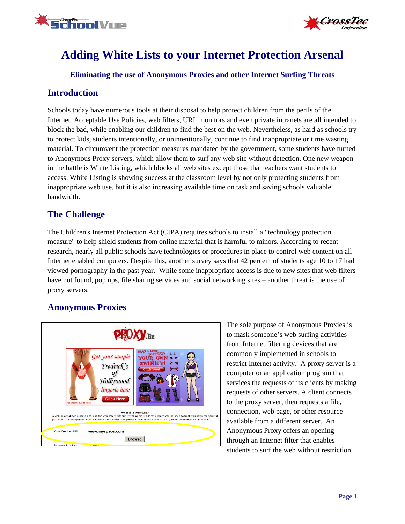



# **Adding White Lists to your Internet Protection Arsenal**

**Eliminating the use of Anonymous Proxies and other Internet Surfing Threats** 

### **Introduction**

Schools today have numerous tools at their disposal to help protect children from the perils of the Internet. Acceptable Use Policies, web filters, URL monitors and even private intranets are all intended to block the bad, while enabling our children to find the best on the web. Nevertheless, as hard as schools try to protect kids, students intentionally, or unintentionally, continue to find inappropriate or time wasting material. To circumvent the protection measures mandated by the government, some students have turned to Anonymous Proxy servers, which allow them to surf any web site without detection. One new weapon in the battle is White Listing, which blocks all web sites except those that teachers want students to access. White Listing is showing success at the classroom level by not only protecting students from inappropriate web use, but it is also increasing available time on task and saving schools valuable bandwidth.

# **The Challenge**

The Children's Internet Protection Act (CIPA) requires schools to install a "technology protection measure" to help shield students from online material that is harmful to minors. According to recent research, nearly all public schools have technologies or procedures in place to control web content on all Internet enabled computers. Despite this, another survey says that 42 percent of students age 10 to 17 had viewed pornography in the past year. While some inappropriate access is due to new sites that web filters have not found, pop ups, file sharing services and social networking sites – another threat is the use of proxy servers.

## **Anonymous Proxies**



The sole purpose of Anonymous Proxies is to mask someone's web surfing activities from Internet filtering devices that are commonly implemented in schools to restrict Internet activity. A proxy server is a computer or an application program that services the requests of its clients by making requests of other servers. A client connects to the proxy server, then requests a file, connection, web page, or other resource available from a different server. An Anonymous Proxy offers an opening through an Internet filter that enables students to surf the web without restriction.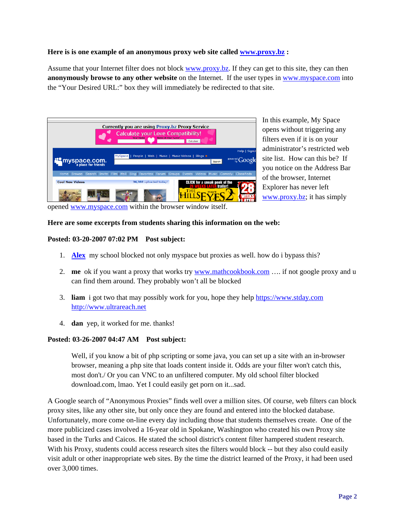#### **Here is is one example of an anonymous proxy web site called www.proxy.bz :**

Assume that your Internet filter does not block www.proxy.bz. If they can get to this site, they can then **anonymously browse to any other website** on the Internet. If the user types in www.myspace.com into the "Your Desired URL:" box they will immediately be redirected to that site.

|                        | <b>Currently you are using Proxy.bz Proxy Service</b><br><b>Calculate your Love Compatibility!</b><br>Calculatel                   |                                          |
|------------------------|------------------------------------------------------------------------------------------------------------------------------------|------------------------------------------|
| myspace.com.           | MySpace   People   Web   Music   Music Videos   Blogs >                                                                            | Help   SignU<br>powered Google<br>Search |
|                        | Home   Browse   Search   Invite   Film   Mail   Blog   Favorites   Forum   Groups   Events   Videos   Music   Comedy   Classifieds |                                          |
| <b>Cool New Videos</b> | 36,388 uploaded today!<br><b>CLICK</b> for a sneak peek of the                                                                     | trailer!                                 |

In this example, My Space opens without triggering any filters even if it is on your administrator's restricted web site list. How can this be? If you notice on the Address Bar of the browser, Internet Explorer has never left www.proxy.bz; it has simply

opened www.myspace.com within the browser window itself.

#### **Here are some excerpts from students sharing this information on the web:**

#### **Posted: 03-20-2007 07:02 PM Post subject:**

- 1. **Alex** my school blocked not only myspace but proxies as well. how do i bypass this?
- 2. **me** ok if you want a proxy that works try www.mathcookbook.com …. if not google proxy and u can find them around. They probably won't all be blocked
- 3. **liam** i got two that may possibly work for you, hope they help https://www.stday.com http://www.ultrareach.net
- 4. **dan** yep, it worked for me. thanks!

#### **Posted: 03-26-2007 04:47 AM Post subject:**

Well, if you know a bit of php scripting or some java, you can set up a site with an in-browser browser, meaning a php site that loads content inside it. Odds are your filter won't catch this, most don't./ Or you can VNC to an unfiltered computer. My old school filter blocked download.com, lmao. Yet I could easily get porn on it...sad.

A Google search of "Anonymous Proxies" finds well over a million sites. Of course, web filters can block proxy sites, like any other site, but only once they are found and entered into the blocked database. Unfortunately, more come on-line every day including those that students themselves create. One of the more publicized cases involved a 16-year old in Spokane, Washington who created his own Proxy site based in the Turks and Caicos. He stated the school district's content filter hampered student research. With his Proxy, students could access research sites the filters would block -- but they also could easily visit adult or other inappropriate web sites. By the time the district learned of the Proxy, it had been used over 3,000 times.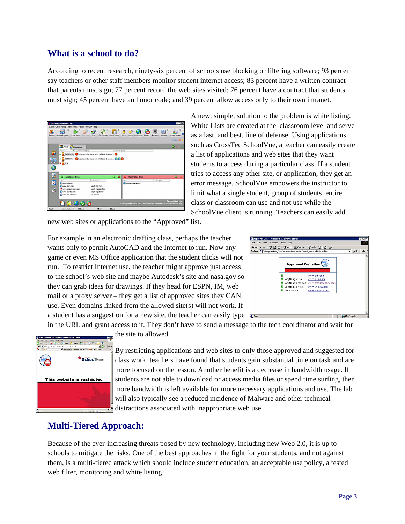### **What is a school to do?**

According to recent research, ninety-six percent of schools use blocking or filtering software; 93 percent say teachers or other staff members monitor student internet access; 83 percent have a written contract that parents must sign; 77 percent record the web sites visited; 76 percent have a contract that students must sign; 45 percent have an honor code; and 39 percent allow access only to their own intranet.

|        | E Croster Schoolwer 151                                                                      |                             |              |                                                              |                                  | $-10x$                           |
|--------|----------------------------------------------------------------------------------------------|-----------------------------|--------------|--------------------------------------------------------------|----------------------------------|----------------------------------|
|        | Situal Clark Group View With Playter Window Hub                                              |                             |              |                                                              |                                  |                                  |
|        | <b>Reflect: Student Register</b><br><b>Ston Werk</b><br><b>Tring Cia</b>                     | <b>Scar</b><br>Fin Transfer |              | Δ<br><b>Block AJ</b>                                         | ЮÙ.<br><b>Blank At</b><br>Manage | $\Delta$<br>÷.<br>Care to minute |
|        |                                                                                              |                             |              |                                                              |                                  | 甘静圖盘                             |
|        | Bert Brown                                                                                   |                             |              |                                                              |                                  | 华丽光                              |
|        | A Current With Stor<br>new                                                                   |                             | All was been |                                                              |                                  |                                  |
| ш      | O DONOMSS C Experience the mage with the latest from et C                                    |                             |              |                                                              |                                  |                                  |
|        | <b>Accounts C</b> Experience the regional state above and a C C<br>$\mathbf{r}_{\mathbf{a}}$ |                             |              |                                                              |                                  |                                  |
| Ġ<br>ā |                                                                                              |                             |              |                                                              |                                  |                                  |
|        | ۰<br><b>Approved State</b>                                                                   |                             | $O$ at       | <b>Husbicted Sites</b><br>o                                  |                                  | ۰                                |
| M      | 1.54                                                                                         | Cesarinan                   |              | 184                                                          | Important                        |                                  |
|        | <b>Client Drums</b><br><b>Covers Extragged</b>                                               | anting nat.                 |              | <b>Chemintacion</b>                                          |                                  |                                  |
|        | A www.grosdecomp.com                                                                         | anything pressure           |              |                                                              |                                  |                                  |
| ₫      | Davis Grey (14)                                                                              | and ag asser                |              |                                                              |                                  |                                  |
|        | Obvert and the core.                                                                         | al Mosta                    |              |                                                              |                                  |                                  |
|        |                                                                                              |                             |              |                                                              |                                  |                                  |
|        |                                                                                              |                             |              | C: Program Flee/CrossToc/CrossTec Remote Control/WEDText day |                                  | <b>Current Web List</b>          |
|        |                                                                                              |                             |              |                                                              |                                  |                                  |

A new, simple, solution to the problem is white listing. White Lists are created at the classroom level and serve as a last, and best, line of defense. Using applications such as CrossTec SchoolVue, a teacher can easily create a list of applications and web sites that they want students to access during a particular class. If a student tries to access any other site, or application, they get an error message. SchoolVue empowers the instructor to limit what a single student, group of students, entire class or classroom can use and not use while the SchoolVue client is running. Teachers can easily add

new web sites or applications to the "Approved" list.

For example in an electronic drafting class, perhaps the teacher wants only to permit AutoCAD and the Internet to run. Now any game or even MS Office application that the student clicks will not run. To restrict Internet use, the teacher might approve just access to the school's web site and maybe Autodesk's site and nasa.gov so they can grab ideas for drawings. If they head for ESPN, IM, web mail or a proxy server – they get a list of approved sites they CAN use. Even domains linked from the allowed site(s) will not work. If a student has a suggestion for a new site, the teacher can easily type



in the URL and grant access to it. They don't have to send a message to the tech coordinator and wait for the site to allowed.



By restricting applications and web sites to only those approved and suggested for class work, teachers have found that students gain substantial time on task and are more focused on the lesson. Another benefit is a decrease in bandwidth usage. If students are not able to download or access media files or spend time surfing, then more bandwidth is left available for more necessary applications and use. The lab will also typically see a reduced incidence of Malware and other technical distractions associated with inappropriate web use.

## **Multi-Tiered Approach:**

Because of the ever-increasing threats posed by new technology, including new Web 2.0, it is up to schools to mitigate the risks. One of the best approaches in the fight for your students, and not against them, is a multi-tiered attack which should include student education, an acceptable use policy, a tested web filter, monitoring and white listing.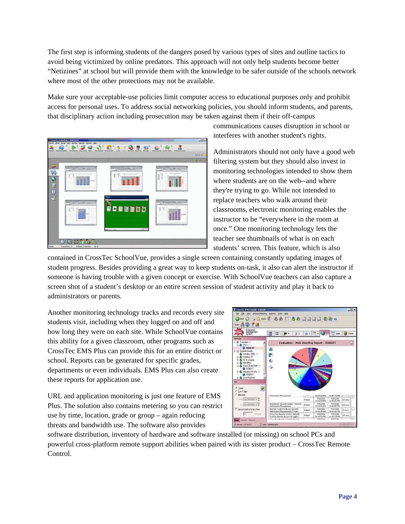The first step is informing students of the dangers posed by various types of sites and outline tactics to avoid being victimized by online predators. This approach will not only help students become better "Netizines" at school but will provide them with the knowledge to be safer outside of the schools network where most of the other protections may not be available.

Make sure your acceptable-use policies limit computer access to educational purposes only and prohibit access for personal uses. To address social networking policies, you should inform students, and parents, that disciplinary action including prosecution may be taken against them if their off-campus



communications causes disruption in school or interferes with another student's rights.

Administrators should not only have a good web filtering system but they should also invest in monitoring technologies intended to show them where students are on the web--and where they're trying to go. While not intended to replace teachers who walk around their classrooms, electronic monitoring enables the instructor to be "everywhere in the room at once." One monitoring technology lets the teacher see thumbnails of what is on each students' screen. This feature, which is also

contained in CrossTec SchoolVue, provides a single screen containing constantly updating images of student progress. Besides providing a great way to keep students on-task, it also can alert the instructor if someone is having trouble with a given concept or exercise. With SchoolVue teachers can also capture a screen shot of a student's desktop or an entire screen session of student activity and play it back to administrators or parents.

Another monitoring technology tracks and records every site students visit, including when they logged on and off and how long they were on each site. While SchoolVue contains this ability for a given classroom, other programs such as CrossTec EMS Plus can provide this for an entire district or school. Reports can be generated for specific grades, departments or even individuals. EMS Plus can also create these reports for application use.

URL and application monitoring is just one feature of EMS Plus. The solution also contains metering so you can restrict use by time, location, grade or group – again reducing threats and bandwidth use. The software also provides



software distribution, inventory of hardware and software installed (or missing) on school PCs and powerful cross-platform remote support abilities when paired with its sister product – CrossTec Remote Control.